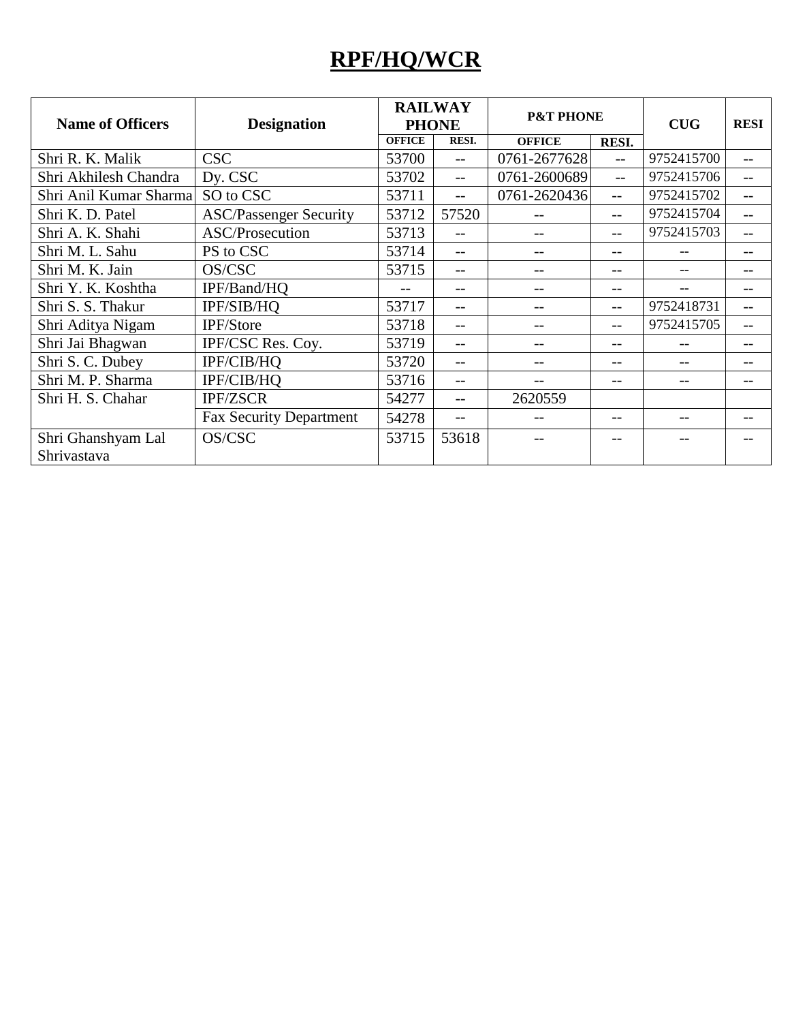## **RPF/HQ/WCR**

| <b>Name of Officers</b> | <b>Designation</b>             | <b>RAILWAY</b><br><b>PHONE</b> |              | <b>P&amp;T PHONE</b> |                   | <b>CUG</b> | <b>RESI</b> |
|-------------------------|--------------------------------|--------------------------------|--------------|----------------------|-------------------|------------|-------------|
|                         |                                | <b>OFFICE</b>                  | <b>RESI.</b> | <b>OFFICE</b>        | <b>RESI.</b>      |            |             |
| Shri R. K. Malik        | <b>CSC</b>                     | 53700                          | $-$          | 0761-2677628         | $-$               | 9752415700 | $-$         |
| Shri Akhilesh Chandra   | Dy. CSC                        | 53702                          | $-$          | 0761-2600689         | $-$               | 9752415706 | $-$         |
| Shri Anil Kumar Sharma  | SO to CSC                      | 53711                          | $-$          | 0761-2620436         | $-$               | 9752415702 |             |
| Shri K. D. Patel        | <b>ASC/Passenger Security</b>  | 53712                          | 57520        |                      | --                | 9752415704 |             |
| Shri A. K. Shahi        | ASC/Prosecution                | 53713                          | $-$          |                      | --                | 9752415703 |             |
| Shri M. L. Sahu         | PS to CSC                      | 53714                          | $- -$        | $-$                  | --                |            | --          |
| Shri M. K. Jain         | OS/CSC                         | 53715                          | --           |                      | --                |            | --          |
| Shri Y. K. Koshtha      | IPF/Band/HQ                    |                                | $ -$         |                      | --                |            |             |
| Shri S. S. Thakur       | IPF/SIB/HQ                     | 53717                          | $-$          |                      | $\qquad \qquad -$ | 9752418731 | --          |
| Shri Aditya Nigam       | IPF/Store                      | 53718                          | $- -$        | --                   | --                | 9752415705 | $- -$       |
| Shri Jai Bhagwan        | IPF/CSC Res. Coy.              | 53719                          | $-$          | --                   | --                |            | --          |
| Shri S. C. Dubey        | IPF/CIB/HQ                     | 53720                          |              |                      | --                |            |             |
| Shri M. P. Sharma       | IPF/CIB/HQ                     | 53716                          | $-$          |                      | --                |            | --          |
| Shri H. S. Chahar       | <b>IPF/ZSCR</b>                | 54277                          | $- -$        | 2620559              |                   |            |             |
|                         | <b>Fax Security Department</b> | 54278                          | $-$          |                      | --                |            |             |
| Shri Ghanshyam Lal      | OS/CSC                         | 53715                          | 53618        |                      |                   |            |             |
| Shrivastava             |                                |                                |              |                      |                   |            |             |